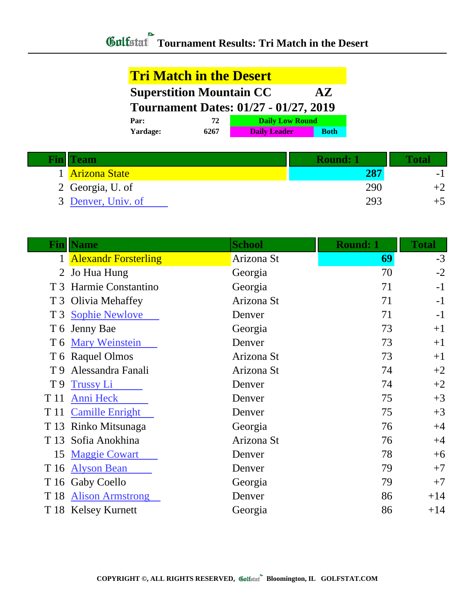## **Tri Match in the Desert Superstition Mountain CC AZ Tournament Dates: 01/27 - 01/27, 2019 Par: 72 Daily Low Round**

| <b>Yardage:</b> | 6267 | <b>Daily Leader</b> | <b>Both</b> |
|-----------------|------|---------------------|-------------|
|                 |      |                     |             |

| <b>Fin</b> Team    | Round: 1 | 'ota |
|--------------------|----------|------|
| 1 Arizona State    |          | -    |
| 2 Georgia, U. of   | 290      |      |
| 3 Denver, Univ. of | 293      |      |

| Finll          | <b>Name</b>            | <b>School</b> | <b>Round: 1</b> | <b>Total</b> |
|----------------|------------------------|---------------|-----------------|--------------|
|                | 1 Alexandr Forsterling | Arizona St    | 69              | $-3$         |
| 2              | Jo Hua Hung            | Georgia       | 70              | $-2$         |
| T <sub>3</sub> | Harmie Constantino     | Georgia       | 71              | $-1$         |
|                | T 3 Olivia Mehaffey    | Arizona St    | 71              | $-1$         |
| T <sub>3</sub> | <b>Sophie Newlove</b>  | Denver        | 71              | $-1$         |
| T 6            | Jenny Bae              | Georgia       | 73              | $+1$         |
| T 6            | <b>Mary Weinstein</b>  | Denver        | 73              | $+1$         |
|                | T 6 Raquel Olmos       | Arizona St    | 73              | $+1$         |
| T 9            | Alessandra Fanali      | Arizona St    | 74              | $+2$         |
| T <sub>9</sub> | <b>Trussy Li</b>       | Denver        | 74              | $+2$         |
| T 11           | Anni Heck              | Denver        | 75              | $+3$         |
| T 11           | <b>Camille Enright</b> | Denver        | 75              | $+3$         |
| T 13           | Rinko Mitsunaga        | Georgia       | 76              | $+4$         |
| T 13           | Sofia Anokhina         | Arizona St    | 76              | $+4$         |
| 15             | <b>Maggie Cowart</b>   | Denver        | 78              | $+6$         |
| T 16           | <b>Alyson Bean</b>     | Denver        | 79              | $+7$         |
|                | T 16 Gaby Coello       | Georgia       | 79              | $+7$         |
|                | T 18 Alison Armstrong  | Denver        | 86              | $+14$        |
|                | T 18 Kelsey Kurnett    | Georgia       | 86              | $+14$        |